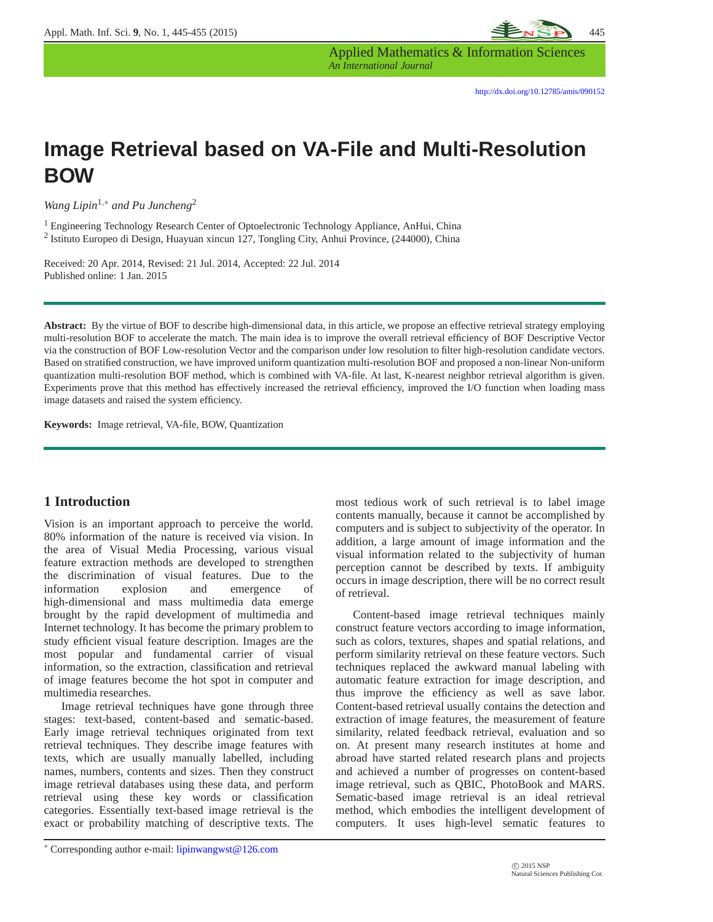

Applied Mathematics & Information Sciences *An International Journal*

# **Image Retrieval based on VA-File and Multi-Resolution BOW**

*Wang Lipin*1,<sup>∗</sup> *and Pu Juncheng*<sup>2</sup>

<sup>1</sup> Engineering Technology Research Center of Optoelectronic Technology Appliance, AnHui, China <sup>2</sup> Istituto Europeo di Design, Huayuan xincun 127, Tongling City, Anhui Province, (244000), China

Received: 20 Apr. 2014, Revised: 21 Jul. 2014, Accepted: 22 Jul. 2014 Published online: 1 Jan. 2015

**Abstract:** By the virtue of BOF to describe high-dimensional data, in this article, we propose an effective retrieval strategy employing multi-resolution BOF to accelerate the match. The main idea is to improve the overall retrieval efficiency of BOF Descriptive Vector via the construction of BOF Low-resolution Vector and the comparison under low resolution to filter high-resolution candidate vectors. Based on stratified construction, we have improved uniform quantization multi-resolution BOF and proposed a non-linear Non-uniform quantization multi-resolution BOF method, which is combined with VA-file. At last, K-nearest neighbor retrieval algorithm is given. Experiments prove that this method has effectively increased the retrieval efficiency, improved the I/O function when loading mass image datasets and raised the system efficiency.

**Keywords:** Image retrieval, VA-file, BOW, Quantization

## **1 Introduction**

Vision is an important approach to perceive the world. 80% information of the nature is received via vision. In the area of Visual Media Processing, various visual feature extraction methods are developed to strengthen the discrimination of visual features. Due to the information explosion and emergence of high-dimensional and mass multimedia data emerge brought by the rapid development of multimedia and Internet technology. It has become the primary problem to study efficient visual feature description. Images are the most popular and fundamental carrier of visual information, so the extraction, classification and retrieval of image features become the hot spot in computer and multimedia researches.

Image retrieval techniques have gone through three stages: text-based, content-based and sematic-based. Early image retrieval techniques originated from text retrieval techniques. They describe image features with texts, which are usually manually labelled, including names, numbers, contents and sizes. Then they construct image retrieval databases using these data, and perform retrieval using these key words or classification categories. Essentially text-based image retrieval is the exact or probability matching of descriptive texts. The most tedious work of such retrieval is to label image contents manually, because it cannot be accomplished by computers and is subject to subjectivity of the operator. In addition, a large amount of image information and the visual information related to the subjectivity of human perception cannot be described by texts. If ambiguity occurs in image description, there will be no correct result of retrieval.

Content-based image retrieval techniques mainly construct feature vectors according to image information, such as colors, textures, shapes and spatial relations, and perform similarity retrieval on these feature vectors. Such techniques replaced the awkward manual labeling with automatic feature extraction for image description, and thus improve the efficiency as well as save labor. Content-based retrieval usually contains the detection and extraction of image features, the measurement of feature similarity, related feedback retrieval, evaluation and so on. At present many research institutes at home and abroad have started related research plans and projects and achieved a number of progresses on content-based image retrieval, such as QBIC, PhotoBook and MARS. Sematic-based image retrieval is an ideal retrieval method, which embodies the intelligent development of computers. It uses high-level sematic features to

<sup>∗</sup> Corresponding author e-mail: lipinwangwst@126.com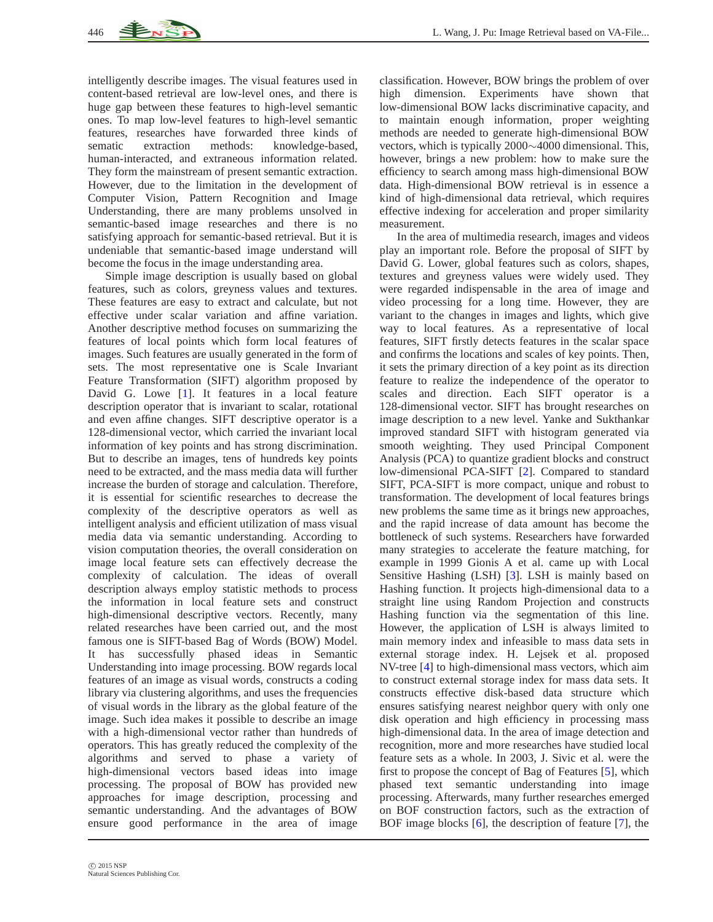intelligently describe images. The visual features used in content-based retrieval are low-level ones, and there is huge gap between these features to high-level semantic ones. To map low-level features to high-level semantic features, researches have forwarded three kinds of sematic extraction methods: knowledge-based, human-interacted, and extraneous information related. They form the mainstream of present semantic extraction. However, due to the limitation in the development of Computer Vision, Pattern Recognition and Image Understanding, there are many problems unsolved in semantic-based image researches and there is no satisfying approach for semantic-based retrieval. But it is undeniable that semantic-based image understand will become the focus in the image understanding area.

Simple image description is usually based on global features, such as colors, greyness values and textures. These features are easy to extract and calculate, but not effective under scalar variation and affine variation. Another descriptive method focuses on summarizing the features of local points which form local features of images. Such features are usually generated in the form of sets. The most representative one is Scale Invariant Feature Transformation (SIFT) algorithm proposed by David G. Lowe [\[1\]](#page-10-0). It features in a local feature description operator that is invariant to scalar, rotational and even affine changes. SIFT descriptive operator is a 128-dimensional vector, which carried the invariant local information of key points and has strong discrimination. But to describe an images, tens of hundreds key points need to be extracted, and the mass media data will further increase the burden of storage and calculation. Therefore, it is essential for scientific researches to decrease the complexity of the descriptive operators as well as intelligent analysis and efficient utilization of mass visual media data via semantic understanding. According to vision computation theories, the overall consideration on image local feature sets can effectively decrease the complexity of calculation. The ideas of overall description always employ statistic methods to process the information in local feature sets and construct high-dimensional descriptive vectors. Recently, many related researches have been carried out, and the most famous one is SIFT-based Bag of Words (BOW) Model. It has successfully phased ideas in Semantic Understanding into image processing. BOW regards local features of an image as visual words, constructs a coding library via clustering algorithms, and uses the frequencies of visual words in the library as the global feature of the image. Such idea makes it possible to describe an image with a high-dimensional vector rather than hundreds of operators. This has greatly reduced the complexity of the algorithms and served to phase a variety of high-dimensional vectors based ideas into image processing. The proposal of BOW has provided new approaches for image description, processing and semantic understanding. And the advantages of BOW ensure good performance in the area of image

classification. However, BOW brings the problem of over high dimension. Experiments have shown that low-dimensional BOW lacks discriminative capacity, and to maintain enough information, proper weighting methods are needed to generate high-dimensional BOW vectors, which is typically 2000∼4000 dimensional. This, however, brings a new problem: how to make sure the efficiency to search among mass high-dimensional BOW data. High-dimensional BOW retrieval is in essence a kind of high-dimensional data retrieval, which requires effective indexing for acceleration and proper similarity measurement.

In the area of multimedia research, images and videos play an important role. Before the proposal of SIFT by David G. Lower, global features such as colors, shapes, textures and greyness values were widely used. They were regarded indispensable in the area of image and video processing for a long time. However, they are variant to the changes in images and lights, which give way to local features. As a representative of local features, SIFT firstly detects features in the scalar space and confirms the locations and scales of key points. Then, it sets the primary direction of a key point as its direction feature to realize the independence of the operator to scales and direction. Each SIFT operator is a 128-dimensional vector. SIFT has brought researches on image description to a new level. Yanke and Sukthankar improved standard SIFT with histogram generated via smooth weighting. They used Principal Component Analysis (PCA) to quantize gradient blocks and construct low-dimensional PCA-SIFT [\[2\]](#page-10-1). Compared to standard SIFT, PCA-SIFT is more compact, unique and robust to transformation. The development of local features brings new problems the same time as it brings new approaches, and the rapid increase of data amount has become the bottleneck of such systems. Researchers have forwarded many strategies to accelerate the feature matching, for example in 1999 Gionis A et al. came up with Local Sensitive Hashing (LSH) [\[3\]](#page-10-2). LSH is mainly based on Hashing function. It projects high-dimensional data to a straight line using Random Projection and constructs Hashing function via the segmentation of this line. However, the application of LSH is always limited to main memory index and infeasible to mass data sets in external storage index. H. Lejsek et al. proposed NV-tree [\[4\]](#page-10-3) to high-dimensional mass vectors, which aim to construct external storage index for mass data sets. It constructs effective disk-based data structure which ensures satisfying nearest neighbor query with only one disk operation and high efficiency in processing mass high-dimensional data. In the area of image detection and recognition, more and more researches have studied local feature sets as a whole. In 2003, J. Sivic et al. were the first to propose the concept of Bag of Features [\[5\]](#page-10-4), which phased text semantic understanding into image processing. Afterwards, many further researches emerged on BOF construction factors, such as the extraction of BOF image blocks [\[6\]](#page-10-5), the description of feature [\[7\]](#page-10-6), the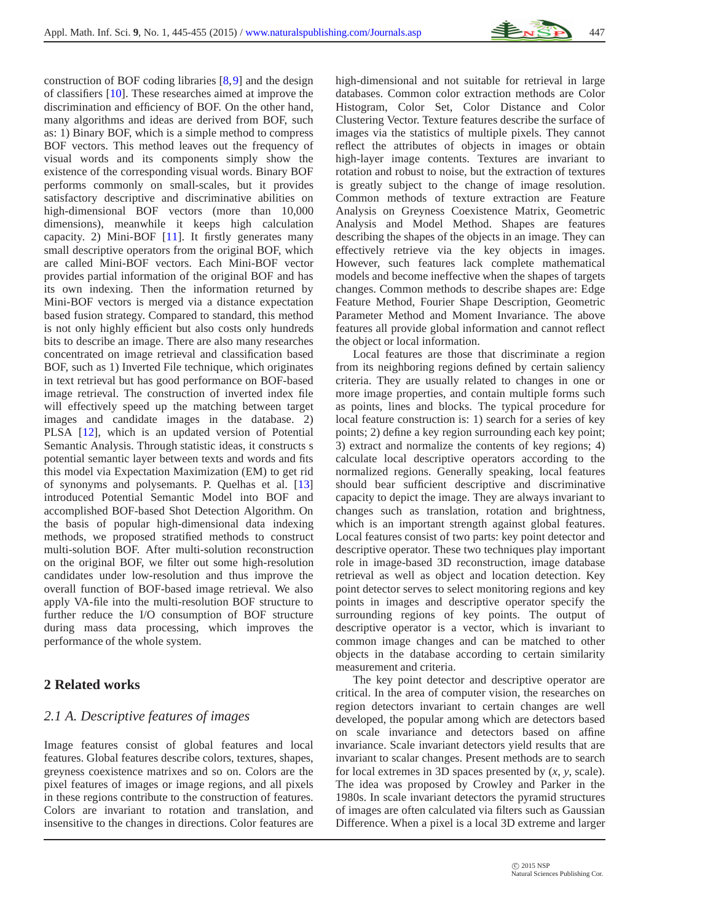

construction of BOF coding libraries [\[8,](#page-10-7)[9\]](#page-10-8) and the design of classifiers [\[10\]](#page-10-9). These researches aimed at improve the discrimination and efficiency of BOF. On the other hand, many algorithms and ideas are derived from BOF, such as: 1) Binary BOF, which is a simple method to compress BOF vectors. This method leaves out the frequency of visual words and its components simply show the existence of the corresponding visual words. Binary BOF performs commonly on small-scales, but it provides satisfactory descriptive and discriminative abilities on high-dimensional BOF vectors (more than 10,000 dimensions), meanwhile it keeps high calculation capacity. 2) Mini-BOF [\[11\]](#page-10-10). It firstly generates many small descriptive operators from the original BOF, which are called Mini-BOF vectors. Each Mini-BOF vector provides partial information of the original BOF and has its own indexing. Then the information returned by Mini-BOF vectors is merged via a distance expectation based fusion strategy. Compared to standard, this method is not only highly efficient but also costs only hundreds bits to describe an image. There are also many researches concentrated on image retrieval and classification based BOF, such as 1) Inverted File technique, which originates in text retrieval but has good performance on BOF-based image retrieval. The construction of inverted index file will effectively speed up the matching between target images and candidate images in the database. 2) PLSA [\[12\]](#page-10-11), which is an updated version of Potential Semantic Analysis. Through statistic ideas, it constructs s potential semantic layer between texts and words and fits this model via Expectation Maximization (EM) to get rid of synonyms and polysemants. P. Quelhas et al. [\[13\]](#page-10-12) introduced Potential Semantic Model into BOF and accomplished BOF-based Shot Detection Algorithm. On the basis of popular high-dimensional data indexing methods, we proposed stratified methods to construct multi-solution BOF. After multi-solution reconstruction on the original BOF, we filter out some high-resolution candidates under low-resolution and thus improve the overall function of BOF-based image retrieval. We also apply VA-file into the multi-resolution BOF structure to further reduce the I/O consumption of BOF structure during mass data processing, which improves the performance of the whole system.

# **2 Related works**

# *2.1 A. Descriptive features of images*

Image features consist of global features and local features. Global features describe colors, textures, shapes, greyness coexistence matrixes and so on. Colors are the pixel features of images or image regions, and all pixels in these regions contribute to the construction of features. Colors are invariant to rotation and translation, and insensitive to the changes in directions. Color features are

high-dimensional and not suitable for retrieval in large databases. Common color extraction methods are Color Histogram, Color Set, Color Distance and Color Clustering Vector. Texture features describe the surface of images via the statistics of multiple pixels. They cannot reflect the attributes of objects in images or obtain high-layer image contents. Textures are invariant to rotation and robust to noise, but the extraction of textures is greatly subject to the change of image resolution. Common methods of texture extraction are Feature Analysis on Greyness Coexistence Matrix, Geometric Analysis and Model Method. Shapes are features describing the shapes of the objects in an image. They can effectively retrieve via the key objects in images. However, such features lack complete mathematical models and become ineffective when the shapes of targets changes. Common methods to describe shapes are: Edge Feature Method, Fourier Shape Description, Geometric Parameter Method and Moment Invariance. The above features all provide global information and cannot reflect the object or local information.

Local features are those that discriminate a region from its neighboring regions defined by certain saliency criteria. They are usually related to changes in one or more image properties, and contain multiple forms such as points, lines and blocks. The typical procedure for local feature construction is: 1) search for a series of key points; 2) define a key region surrounding each key point; 3) extract and normalize the contents of key regions; 4) calculate local descriptive operators according to the normalized regions. Generally speaking, local features should bear sufficient descriptive and discriminative capacity to depict the image. They are always invariant to changes such as translation, rotation and brightness, which is an important strength against global features. Local features consist of two parts: key point detector and descriptive operator. These two techniques play important role in image-based 3D reconstruction, image database retrieval as well as object and location detection. Key point detector serves to select monitoring regions and key points in images and descriptive operator specify the surrounding regions of key points. The output of descriptive operator is a vector, which is invariant to common image changes and can be matched to other objects in the database according to certain similarity measurement and criteria.

The key point detector and descriptive operator are critical. In the area of computer vision, the researches on region detectors invariant to certain changes are well developed, the popular among which are detectors based on scale invariance and detectors based on affine invariance. Scale invariant detectors yield results that are invariant to scalar changes. Present methods are to search for local extremes in 3D spaces presented by (*x*, *y*, scale). The idea was proposed by Crowley and Parker in the 1980s. In scale invariant detectors the pyramid structures of images are often calculated via filters such as Gaussian Difference. When a pixel is a local 3D extreme and larger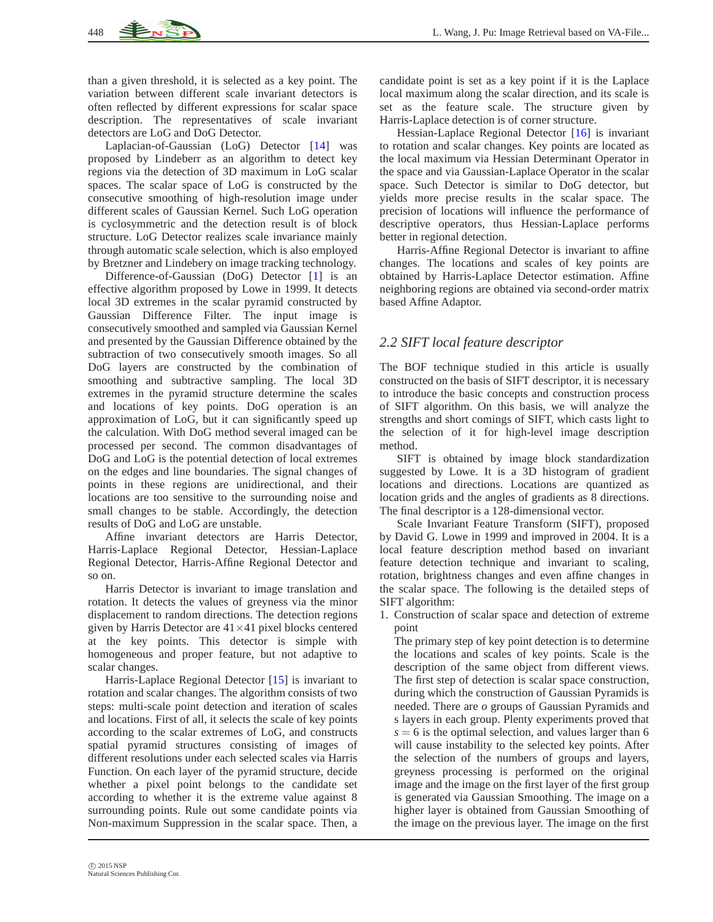than a given threshold, it is selected as a key point. The variation between different scale invariant detectors is often reflected by different expressions for scalar space description. The representatives of scale invariant detectors are LoG and DoG Detector.

Laplacian-of-Gaussian (LoG) Detector [\[14\]](#page-10-13) was proposed by Lindeberr as an algorithm to detect key regions via the detection of 3D maximum in LoG scalar spaces. The scalar space of LoG is constructed by the consecutive smoothing of high-resolution image under different scales of Gaussian Kernel. Such LoG operation is cyclosymmetric and the detection result is of block structure. LoG Detector realizes scale invariance mainly through automatic scale selection, which is also employed by Bretzner and Lindebery on image tracking technology.

Difference-of-Gaussian (DoG) Detector [\[1\]](#page-10-0) is an effective algorithm proposed by Lowe in 1999. It detects local 3D extremes in the scalar pyramid constructed by Gaussian Difference Filter. The input image is consecutively smoothed and sampled via Gaussian Kernel and presented by the Gaussian Difference obtained by the subtraction of two consecutively smooth images. So all DoG layers are constructed by the combination of smoothing and subtractive sampling. The local 3D extremes in the pyramid structure determine the scales and locations of key points. DoG operation is an approximation of LoG, but it can significantly speed up the calculation. With DoG method several imaged can be processed per second. The common disadvantages of DoG and LoG is the potential detection of local extremes on the edges and line boundaries. The signal changes of points in these regions are unidirectional, and their locations are too sensitive to the surrounding noise and small changes to be stable. Accordingly, the detection results of DoG and LoG are unstable.

Affine invariant detectors are Harris Detector, Harris-Laplace Regional Detector, Hessian-Laplace Regional Detector, Harris-Affine Regional Detector and so on.

Harris Detector is invariant to image translation and rotation. It detects the values of greyness via the minor displacement to random directions. The detection regions given by Harris Detector are  $41 \times 41$  pixel blocks centered at the key points. This detector is simple with homogeneous and proper feature, but not adaptive to scalar changes.

Harris-Laplace Regional Detector [\[15\]](#page-10-14) is invariant to rotation and scalar changes. The algorithm consists of two steps: multi-scale point detection and iteration of scales and locations. First of all, it selects the scale of key points according to the scalar extremes of LoG, and constructs spatial pyramid structures consisting of images of different resolutions under each selected scales via Harris Function. On each layer of the pyramid structure, decide whether a pixel point belongs to the candidate set according to whether it is the extreme value against 8 surrounding points. Rule out some candidate points via Non-maximum Suppression in the scalar space. Then, a

candidate point is set as a key point if it is the Laplace local maximum along the scalar direction, and its scale is set as the feature scale. The structure given by Harris-Laplace detection is of corner structure.

Hessian-Laplace Regional Detector [\[16\]](#page-10-15) is invariant to rotation and scalar changes. Key points are located as the local maximum via Hessian Determinant Operator in the space and via Gaussian-Laplace Operator in the scalar space. Such Detector is similar to DoG detector, but yields more precise results in the scalar space. The precision of locations will influence the performance of descriptive operators, thus Hessian-Laplace performs better in regional detection.

Harris-Affine Regional Detector is invariant to affine changes. The locations and scales of key points are obtained by Harris-Laplace Detector estimation. Affine neighboring regions are obtained via second-order matrix based Affine Adaptor.

### *2.2 SIFT local feature descriptor*

The BOF technique studied in this article is usually constructed on the basis of SIFT descriptor, it is necessary to introduce the basic concepts and construction process of SIFT algorithm. On this basis, we will analyze the strengths and short comings of SIFT, which casts light to the selection of it for high-level image description method.

SIFT is obtained by image block standardization suggested by Lowe. It is a 3D histogram of gradient locations and directions. Locations are quantized as location grids and the angles of gradients as 8 directions. The final descriptor is a 128-dimensional vector.

Scale Invariant Feature Transform (SIFT), proposed by David G. Lowe in 1999 and improved in 2004. It is a local feature description method based on invariant feature detection technique and invariant to scaling, rotation, brightness changes and even affine changes in the scalar space. The following is the detailed steps of SIFT algorithm:

1. Construction of scalar space and detection of extreme point

The primary step of key point detection is to determine the locations and scales of key points. Scale is the description of the same object from different views. The first step of detection is scalar space construction, during which the construction of Gaussian Pyramids is needed. There are *o* groups of Gaussian Pyramids and s layers in each group. Plenty experiments proved that  $s = 6$  is the optimal selection, and values larger than 6 will cause instability to the selected key points. After the selection of the numbers of groups and layers, greyness processing is performed on the original image and the image on the first layer of the first group is generated via Gaussian Smoothing. The image on a higher layer is obtained from Gaussian Smoothing of the image on the previous layer. The image on the first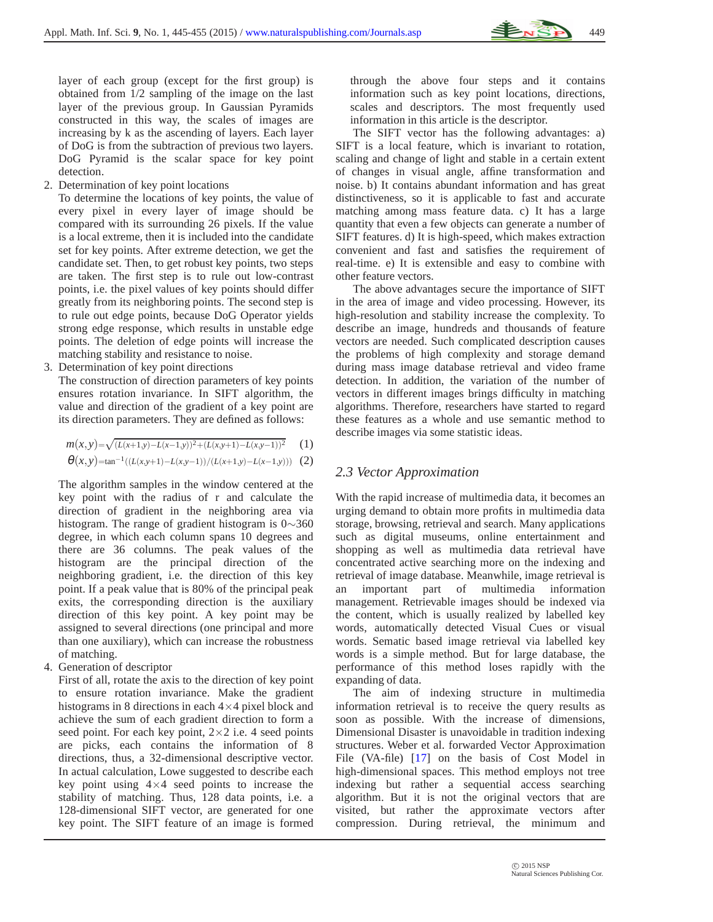

layer of each group (except for the first group) is obtained from 1/2 sampling of the image on the last layer of the previous group. In Gaussian Pyramids constructed in this way, the scales of images are increasing by k as the ascending of layers. Each layer of DoG is from the subtraction of previous two layers. DoG Pyramid is the scalar space for key point detection.

2. Determination of key point locations

To determine the locations of key points, the value of every pixel in every layer of image should be compared with its surrounding 26 pixels. If the value is a local extreme, then it is included into the candidate set for key points. After extreme detection, we get the candidate set. Then, to get robust key points, two steps are taken. The first step is to rule out low-contrast points, i.e. the pixel values of key points should differ greatly from its neighboring points. The second step is to rule out edge points, because DoG Operator yields strong edge response, which results in unstable edge points. The deletion of edge points will increase the matching stability and resistance to noise.

3. Determination of key point directions

The construction of direction parameters of key points ensures rotation invariance. In SIFT algorithm, the value and direction of the gradient of a key point are its direction parameters. They are defined as follows:

$$
m(x, y) = \sqrt{(L(x+1,y)-L(x-1,y))^2 + (L(x,y+1)-L(x,y-1))^2}
$$
 (1)  
\n
$$
\theta(x, y) = \tan^{-1}((L(x,y+1)-L(x,y-1))/(L(x+1,y)-L(x-1,y)))
$$
 (2)

The algorithm samples in the window centered at the key point with the radius of r and calculate the direction of gradient in the neighboring area via histogram. The range of gradient histogram is 0∼360 degree, in which each column spans 10 degrees and there are 36 columns. The peak values of the histogram are the principal direction of the neighboring gradient, i.e. the direction of this key point. If a peak value that is 80% of the principal peak exits, the corresponding direction is the auxiliary direction of this key point. A key point may be assigned to several directions (one principal and more than one auxiliary), which can increase the robustness of matching.

4. Generation of descriptor

First of all, rotate the axis to the direction of key point to ensure rotation invariance. Make the gradient histograms in 8 directions in each  $4\times4$  pixel block and achieve the sum of each gradient direction to form a seed point. For each key point,  $2 \times 2$  i.e. 4 seed points are picks, each contains the information of 8 directions, thus, a 32-dimensional descriptive vector. In actual calculation, Lowe suggested to describe each key point using  $4\times4$  seed points to increase the stability of matching. Thus, 128 data points, i.e. a 128-dimensional SIFT vector, are generated for one key point. The SIFT feature of an image is formed through the above four steps and it contains information such as key point locations, directions, scales and descriptors. The most frequently used information in this article is the descriptor.

The SIFT vector has the following advantages: a) SIFT is a local feature, which is invariant to rotation, scaling and change of light and stable in a certain extent of changes in visual angle, affine transformation and noise. b) It contains abundant information and has great distinctiveness, so it is applicable to fast and accurate matching among mass feature data. c) It has a large quantity that even a few objects can generate a number of SIFT features. d) It is high-speed, which makes extraction convenient and fast and satisfies the requirement of real-time. e) It is extensible and easy to combine with other feature vectors.

The above advantages secure the importance of SIFT in the area of image and video processing. However, its high-resolution and stability increase the complexity. To describe an image, hundreds and thousands of feature vectors are needed. Such complicated description causes the problems of high complexity and storage demand during mass image database retrieval and video frame detection. In addition, the variation of the number of vectors in different images brings difficulty in matching algorithms. Therefore, researchers have started to regard these features as a whole and use semantic method to describe images via some statistic ideas.

## *2.3 Vector Approximation*

With the rapid increase of multimedia data, it becomes an urging demand to obtain more profits in multimedia data storage, browsing, retrieval and search. Many applications such as digital museums, online entertainment and shopping as well as multimedia data retrieval have concentrated active searching more on the indexing and retrieval of image database. Meanwhile, image retrieval is an important part of multimedia information management. Retrievable images should be indexed via the content, which is usually realized by labelled key words, automatically detected Visual Cues or visual words. Sematic based image retrieval via labelled key words is a simple method. But for large database, the performance of this method loses rapidly with the expanding of data.

The aim of indexing structure in multimedia information retrieval is to receive the query results as soon as possible. With the increase of dimensions, Dimensional Disaster is unavoidable in tradition indexing structures. Weber et al. forwarded Vector Approximation File (VA-file) [\[17\]](#page-10-16) on the basis of Cost Model in high-dimensional spaces. This method employs not tree indexing but rather a sequential access searching algorithm. But it is not the original vectors that are visited, but rather the approximate vectors after compression. During retrieval, the minimum and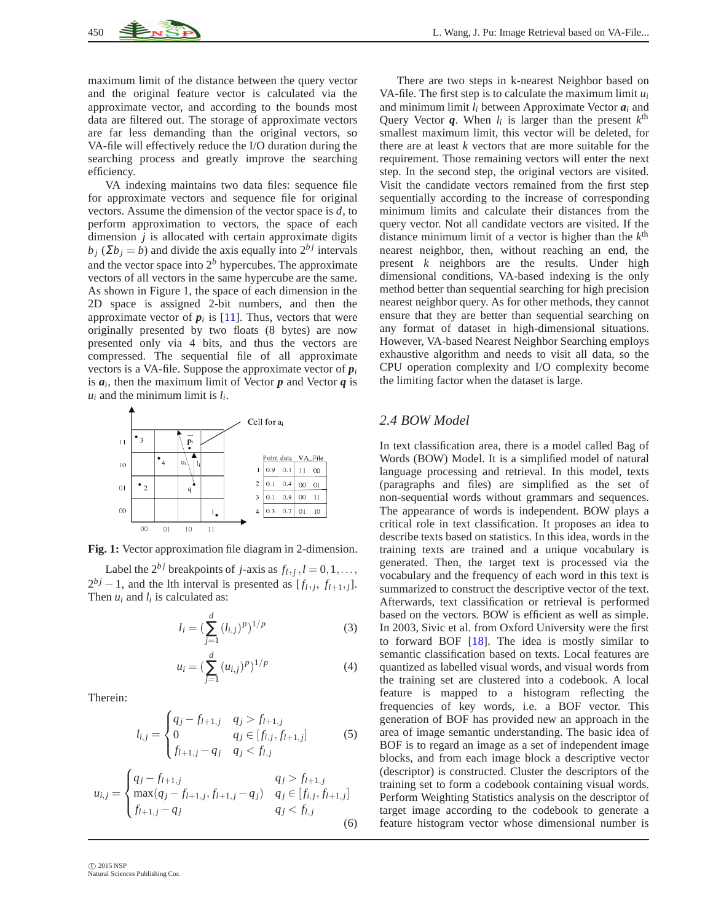maximum limit of the distance between the query vector and the original feature vector is calculated via the approximate vector, and according to the bounds most data are filtered out. The storage of approximate vectors are far less demanding than the original vectors, so VA-file will effectively reduce the I/O duration during the searching process and greatly improve the searching efficiency.

VA indexing maintains two data files: sequence file for approximate vectors and sequence file for original vectors. Assume the dimension of the vector space is *d*, to perform approximation to vectors, the space of each dimension *j* is allocated with certain approximate digits  $b_i$  ( $\sum b_i = b$ ) and divide the axis equally into  $2^{bj}$  intervals and the vector space into  $2<sup>b</sup>$  hypercubes. The approximate vectors of all vectors in the same hypercube are the same. As shown in Figure 1, the space of each dimension in the 2D space is assigned 2-bit numbers, and then the approximate vector of  $p_i$  is [\[11\]](#page-10-10). Thus, vectors that were originally presented by two floats (8 bytes) are now presented only via 4 bits, and thus the vectors are compressed. The sequential file of all approximate vectors is a VA-file. Suppose the approximate vector of *p<sup>i</sup>* is  $a_i$ , then the maximum limit of Vector  $p$  and Vector  $q$  is  $u_i$  and the minimum limit is  $l_i$ .



**Fig. 1:** Vector approximation file diagram in 2-dimension.

Label the  $2^{bj}$  breakpoints of *j*-axis as  $f_l, j, l = 0, 1, \ldots$ ,  $2^{bj} - 1$ , and the lth interval is presented as  $[f_l, j, f_{l+1}, j]$ . Then  $u_i$  and  $l_i$  is calculated as:

$$
l_i = \left(\sum_{j=1}^d (l_{i,j})^p\right)^{1/p} \tag{3}
$$

$$
u_i = \left(\sum_{j=1}^d (u_{i,j})^p\right)^{1/p} \tag{4}
$$

Therein:

$$
l_{i,j} = \begin{cases} q_j - f_{l+1,j} & q_j > f_{l+1,j} \\ 0 & q_j \in [f_{i,j}, f_{l+1,j}] \\ f_{l+1,j} - q_j & q_j < f_{l,j} \end{cases}
$$
(5)

$$
u_{i,j} = \begin{cases} q_j - f_{l+1,j} & q_j > f_{l+1,j} \\ \max(q_j - f_{l+1,j}, f_{l+1,j} - q_j) & q_j \in [f_{i,j}, f_{l+1,j}] \\ f_{l+1,j} - q_j & q_j < f_{l,j} \end{cases}
$$
(6)

There are two steps in k-nearest Neighbor based on VA-file. The first step is to calculate the maximum limit  $u_i$ and minimum limit *l<sup>i</sup>* between Approximate Vector *a<sup>i</sup>* and Query Vector  $q$ . When  $l_i$  is larger than the present  $k^{\text{th}}$ smallest maximum limit, this vector will be deleted, for there are at least *k* vectors that are more suitable for the requirement. Those remaining vectors will enter the next step. In the second step, the original vectors are visited. Visit the candidate vectors remained from the first step sequentially according to the increase of corresponding minimum limits and calculate their distances from the query vector. Not all candidate vectors are visited. If the distance minimum limit of a vector is higher than the  $k^{\text{th}}$ nearest neighbor, then, without reaching an end, the present *k* neighbors are the results. Under high dimensional conditions, VA-based indexing is the only method better than sequential searching for high precision nearest neighbor query. As for other methods, they cannot ensure that they are better than sequential searching on any format of dataset in high-dimensional situations. However, VA-based Nearest Neighbor Searching employs exhaustive algorithm and needs to visit all data, so the CPU operation complexity and I/O complexity become the limiting factor when the dataset is large.

### *2.4 BOW Model*

In text classification area, there is a model called Bag of Words (BOW) Model. It is a simplified model of natural language processing and retrieval. In this model, texts (paragraphs and files) are simplified as the set of non-sequential words without grammars and sequences. The appearance of words is independent. BOW plays a critical role in text classification. It proposes an idea to describe texts based on statistics. In this idea, words in the training texts are trained and a unique vocabulary is generated. Then, the target text is processed via the vocabulary and the frequency of each word in this text is summarized to construct the descriptive vector of the text. Afterwards, text classification or retrieval is performed based on the vectors. BOW is efficient as well as simple. In 2003, Sivic et al. from Oxford University were the first to forward BOF [\[18\]](#page-10-17). The idea is mostly similar to semantic classification based on texts. Local features are quantized as labelled visual words, and visual words from the training set are clustered into a codebook. A local feature is mapped to a histogram reflecting the frequencies of key words, i.e. a BOF vector. This generation of BOF has provided new an approach in the area of image semantic understanding. The basic idea of BOF is to regard an image as a set of independent image blocks, and from each image block a descriptive vector (descriptor) is constructed. Cluster the descriptors of the training set to form a codebook containing visual words. Perform Weighting Statistics analysis on the descriptor of target image according to the codebook to generate a feature histogram vector whose dimensional number is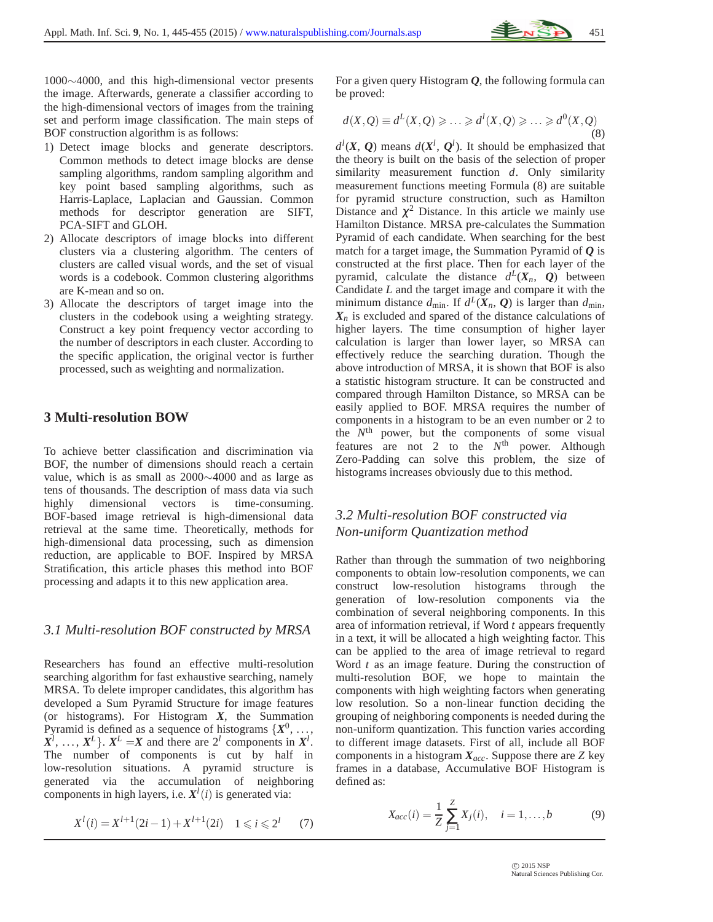

1000∼4000, and this high-dimensional vector presents the image. Afterwards, generate a classifier according to the high-dimensional vectors of images from the training set and perform image classification. The main steps of BOF construction algorithm is as follows:

- 1) Detect image blocks and generate descriptors. Common methods to detect image blocks are dense sampling algorithms, random sampling algorithm and key point based sampling algorithms, such as Harris-Laplace, Laplacian and Gaussian. Common methods for descriptor generation are SIFT, PCA-SIFT and GLOH.
- 2) Allocate descriptors of image blocks into different clusters via a clustering algorithm. The centers of clusters are called visual words, and the set of visual words is a codebook. Common clustering algorithms are K-mean and so on.
- 3) Allocate the descriptors of target image into the clusters in the codebook using a weighting strategy. Construct a key point frequency vector according to the number of descriptors in each cluster. According to the specific application, the original vector is further processed, such as weighting and normalization.

#### **3 Multi-resolution BOW**

To achieve better classification and discrimination via BOF, the number of dimensions should reach a certain value, which is as small as 2000∼4000 and as large as tens of thousands. The description of mass data via such highly dimensional vectors is time-consuming. BOF-based image retrieval is high-dimensional data retrieval at the same time. Theoretically, methods for high-dimensional data processing, such as dimension reduction, are applicable to BOF. Inspired by MRSA Stratification, this article phases this method into BOF processing and adapts it to this new application area.

#### *3.1 Multi-resolution BOF constructed by MRSA*

Researchers has found an effective multi-resolution searching algorithm for fast exhaustive searching, namely MRSA. To delete improper candidates, this algorithm has developed a Sum Pyramid Structure for image features (or histograms). For Histogram *X*, the Summation Pyramid is defined as a sequence of histograms  $\{X^0, \ldots, \}$  $X^l$ , ...,  $X^L$ }.  $X^L = X$  and there are  $2^l$  components in  $X^l$ . The number of components is cut by half in low-resolution situations. A pyramid structure is generated via the accumulation of neighboring components in high layers, i.e.  $X^l(i)$  is generated via:

$$
X^{l}(i) = X^{l+1}(2i - 1) + X^{l+1}(2i) \quad 1 \leq i \leq 2^{l} \tag{7}
$$

For a given query Histogram *Q*, the following formula can be proved:

$$
d(X, Q) \equiv d^L(X, Q) \geq \ldots \geq d^l(X, Q) \geq \ldots \geq d^0(X, Q)
$$
\n(8)

 $d^{l}(X, Q)$  means  $d(X^{l}, Q^{l})$ . It should be emphasized that the theory is built on the basis of the selection of proper similarity measurement function *d*. Only similarity measurement functions meeting Formula (8) are suitable for pyramid structure construction, such as Hamilton Distance and  $\chi^2$  Distance. In this article we mainly use Hamilton Distance. MRSA pre-calculates the Summation Pyramid of each candidate. When searching for the best match for a target image, the Summation Pyramid of *Q* is constructed at the first place. Then for each layer of the pyramid, calculate the distance  $d^L(X_n, Q)$  between Candidate *L* and the target image and compare it with the minimum distance  $d_{\text{min}}$ . If  $d^L(X_n, Q)$  is larger than  $d_{\text{min}}$ ,  $X_n$  is excluded and spared of the distance calculations of higher layers. The time consumption of higher layer calculation is larger than lower layer, so MRSA can effectively reduce the searching duration. Though the above introduction of MRSA, it is shown that BOF is also a statistic histogram structure. It can be constructed and compared through Hamilton Distance, so MRSA can be easily applied to BOF. MRSA requires the number of components in a histogram to be an even number or 2 to the  $N<sup>th</sup>$  power, but the components of some visual features are not 2 to the  $N<sup>th</sup>$  power. Although Zero-Padding can solve this problem, the size of histograms increases obviously due to this method.

# *3.2 Multi-resolution BOF constructed via Non-uniform Quantization method*

Rather than through the summation of two neighboring components to obtain low-resolution components, we can construct low-resolution histograms through the generation of low-resolution components via the combination of several neighboring components. In this area of information retrieval, if Word *t* appears frequently in a text, it will be allocated a high weighting factor. This can be applied to the area of image retrieval to regard Word *t* as an image feature. During the construction of multi-resolution BOF, we hope to maintain the components with high weighting factors when generating low resolution. So a non-linear function deciding the grouping of neighboring components is needed during the non-uniform quantization. This function varies according to different image datasets. First of all, include all BOF components in a histogram *Xacc*. Suppose there are *Z* key frames in a database, Accumulative BOF Histogram is defined as:

$$
X_{acc}(i) = \frac{1}{Z} \sum_{j=1}^{Z} X_j(i), \quad i = 1, ..., b
$$
 (9)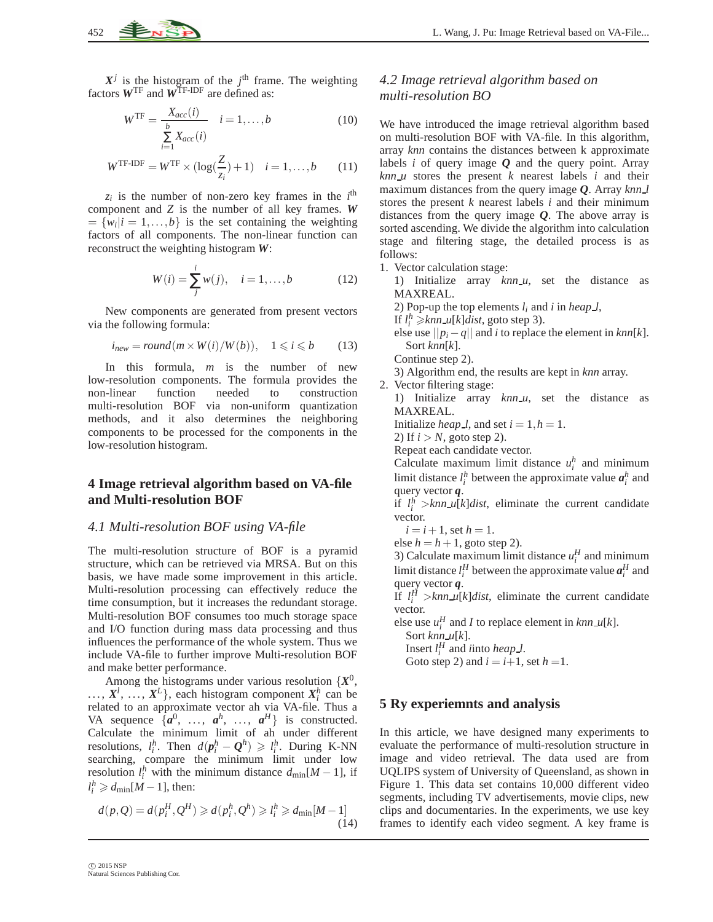$X^j$  is the histogram of the  $j^{\text{th}}$  frame. The weighting factors  $W^{TF}$  and  $W^{TF-IDF}$  are defined as:

$$
WTF = \frac{X_{acc}(i)}{\sum_{i=1}^{b} X_{acc}(i)} \quad i = 1, ..., b
$$
 (10)

$$
W^{\text{TF-IDF}} = W^{\text{TF}} \times (\log(\frac{Z}{z_i}) + 1) \quad i = 1, ..., b \tag{11}
$$

 $z_i$  is the number of non-zero key frames in the  $i^{\text{th}}$ component and *Z* is the number of all key frames. *W*  $=\{w_i | i = 1, \ldots, b\}$  is the set containing the weighting factors of all components. The non-linear function can reconstruct the weighting histogram *W*:

$$
W(i) = \sum_{j}^{i} w(j), \quad i = 1, ..., b
$$
 (12)

New components are generated from present vectors via the following formula:

$$
i_{new} = round(m \times W(i)/W(b)), \quad 1 \leq i \leq b \tag{13}
$$

In this formula, *m* is the number of new low-resolution components. The formula provides the non-linear function needed to construction multi-resolution BOF via non-uniform quantization methods, and it also determines the neighboring components to be processed for the components in the low-resolution histogram.

### **4 Image retrieval algorithm based on VA-file and Multi-resolution BOF**

#### *4.1 Multi-resolution BOF using VA-file*

The multi-resolution structure of BOF is a pyramid structure, which can be retrieved via MRSA. But on this basis, we have made some improvement in this article. Multi-resolution processing can effectively reduce the time consumption, but it increases the redundant storage. Multi-resolution BOF consumes too much storage space and I/O function during mass data processing and thus influences the performance of the whole system. Thus we include VA-file to further improve Multi-resolution BOF and make better performance.

Among the histograms under various resolution  $\{X^0,$  $\ldots, X^l, \ldots, X^L$ , each histogram component  $X_i^h$  can be related to an approximate vector ah via VA-file. Thus a VA sequence  $\{a^0, \ldots, a^h, \ldots, a^H\}$  is constructed. Calculate the minimum limit of ah under different resolutions,  $l_i^h$ . Then  $d(\boldsymbol{p}_i^h - \boldsymbol{Q}^h) \geq l_i^h$ . During K-NN searching, compare the minimum limit under low resolution  $l_i^h$  with the minimum distance  $d_{\text{min}}[M-1]$ , if  $l_i^h \ge d_{\min}[M-1]$ , then:

$$
d(p,Q) = d(p_i^H, Q^H) \ge d(p_i^h, Q^h) \ge l_i^h \ge d_{\min}[M-1]
$$
\n(14)

## *4.2 Image retrieval algorithm based on multi-resolution BO*

We have introduced the image retrieval algorithm based on multi-resolution BOF with VA-file. In this algorithm, array *knn* contains the distances between k approximate labels *i* of query image *Q* and the query point. Array  $knnu$  stores the present  $k$  nearest labels  $i$  and their maximum distances from the query image *Q*. Array *knn l* stores the present *k* nearest labels *i* and their minimum distances from the query image *Q*. The above array is sorted ascending. We divide the algorithm into calculation stage and filtering stage, the detailed process is as follows:

1. Vector calculation stage:

1) Initialize array *knn u*, set the distance as MAXREAL.

2) Pop-up the top elements  $l_i$  and  $i$  in *heap*  $l$ ,

If  $l_i^h \geq knn \mu[k] \text{dist}$ , goto step 3).

else use  $||p_i - q||$  and *i* to replace the element in *knn*[*k*]. Sort *knn*[*k*].

Continue step 2).

3) Algorithm end, the results are kept in *knn* array.

2. Vector filtering stage:

1) Initialize array *knn\_u*, set the distance as MAXREAL.

Initialize *heap l*, and set  $i = 1, h = 1$ .

2) If  $i > N$ , goto step 2).

Repeat each candidate vector.

Calculate maximum limit distance  $u_i^h$  and minimum limit distance  $l_i^h$  between the approximate value  $a_i^h$  and query vector *q*.

if  $l_i^h$  >*knn*  $\mu[k]$ *dist*, eliminate the current candidate vector.

 $i = i + 1$ , set  $h = 1$ .

else  $h = h + 1$ , goto step 2).

3) Calculate maximum limit distance  $u_i^H$  and minimum limit distance  $l_i^H$  between the approximate value  $a_i^H$  and query vector *q*.

If  $l_i^H$  >*knn*  $\mu[k]$ *dist*, eliminate the current candidate vector.

else use  $u_i^H$  and *I* to replace element in  $knn \mathcal{L}[k]$ .

Sort *knn u*[*k*].

Insert  $l_i^H$  and *i*into *heap l*. Goto step 2) and  $i = i+1$ , set  $h = 1$ .

### **5 Ry experiemnts and analysis**

In this article, we have designed many experiments to evaluate the performance of multi-resolution structure in image and video retrieval. The data used are from UQLIPS system of University of Queensland, as shown in Figure 1. This data set contains 10,000 different video segments, including TV advertisements, movie clips, new clips and documentaries. In the experiments, we use key frames to identify each video segment. A key frame is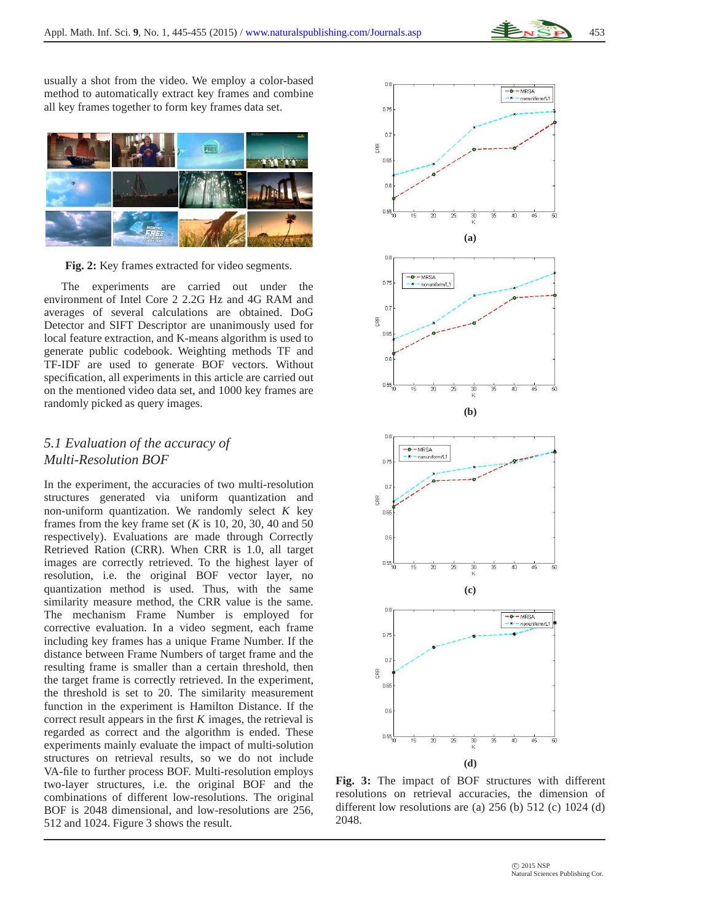

usually a shot from the video. We employ a color-based method to automatically extract key frames and combine all key frames together to form key frames data set.



**Fig. 2:** Key frames extracted for video segments.

The experiments are carried out under the environment of Intel Core 2 2.2G Hz and 4G RAM and averages of several calculations are obtained. DoG Detector and SIFT Descriptor are unanimously used for local feature extraction, and K-means algorithm is used to generate public codebook. Weighting methods TF and TF-IDF are used to generate BOF vectors. Without specification, all experiments in this article are carried out on the mentioned video data set, and 1000 key frames are randomly picked as query images.

# *5.1 Evaluation of the accuracy of Multi-Resolution BOF*

In the experiment, the accuracies of two multi-resolution structures generated via uniform quantization and non-uniform quantization. We randomly select *K* key frames from the key frame set  $(K \text{ is } 10, 20, 30, 40, 50)$ respectively). Evaluations are made through Correctly Retrieved Ration (CRR). When CRR is 1.0, all target images are correctly retrieved. To the highest layer of resolution, i.e. the original BOF vector layer, no quantization method is used. Thus, with the same similarity measure method, the CRR value is the same. The mechanism Frame Number is employed for corrective evaluation. In a video segment, each frame including key frames has a unique Frame Number. If the distance between Frame Numbers of target frame and the resulting frame is smaller than a certain threshold, then the target frame is correctly retrieved. In the experiment, the threshold is set to 20. The similarity measurement function in the experiment is Hamilton Distance. If the correct result appears in the first *K* images, the retrieval is regarded as correct and the algorithm is ended. These experiments mainly evaluate the impact of multi-solution structures on retrieval results, so we do not include VA-file to further process BOF. Multi-resolution employs two-layer structures, i.e. the original BOF and the combinations of different low-resolutions. The original BOF is 2048 dimensional, and low-resolutions are 256, 512 and 1024. Figure 3 shows the result.



**Fig. 3:** The impact of BOF structures with different resolutions on retrieval accuracies, the dimension of different low resolutions are (a) 256 (b) 512 (c) 1024 (d) 2048.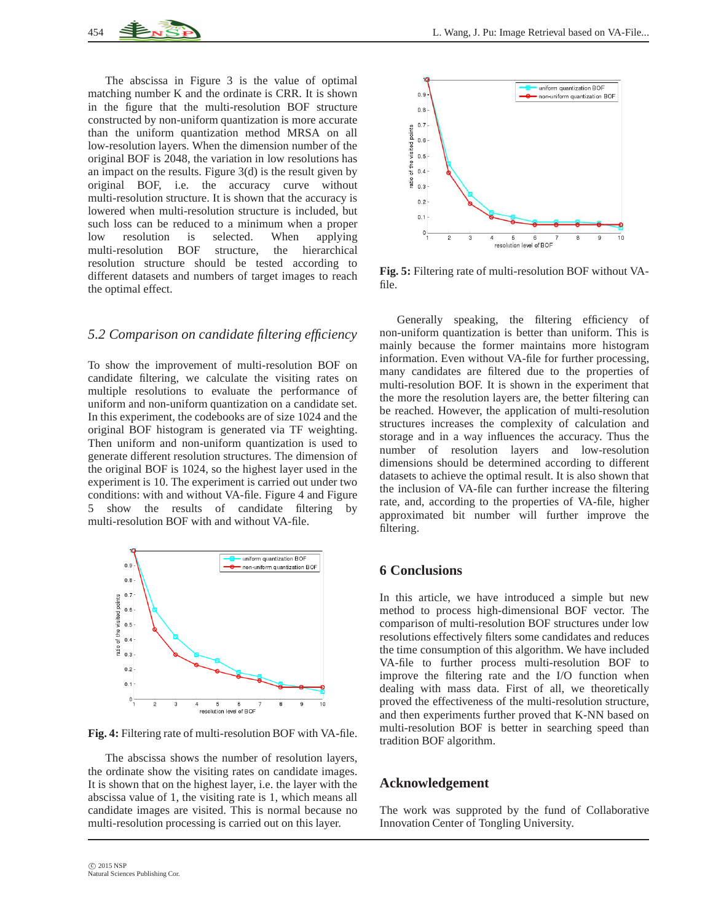The abscissa in Figure 3 is the value of optimal matching number K and the ordinate is CRR. It is shown in the figure that the multi-resolution BOF structure constructed by non-uniform quantization is more accurate than the uniform quantization method MRSA on all low-resolution layers. When the dimension number of the original BOF is 2048, the variation in low resolutions has an impact on the results. Figure  $3(d)$  is the result given by original BOF, i.e. the accuracy curve without multi-resolution structure. It is shown that the accuracy is lowered when multi-resolution structure is included, but such loss can be reduced to a minimum when a proper low resolution is selected. When applying multi-resolution BOF structure, the hierarchical resolution structure should be tested according to different datasets and numbers of target images to reach the optimal effect.

#### *5.2 Comparison on candidate filtering efficiency*

To show the improvement of multi-resolution BOF on candidate filtering, we calculate the visiting rates on multiple resolutions to evaluate the performance of uniform and non-uniform quantization on a candidate set. In this experiment, the codebooks are of size 1024 and the original BOF histogram is generated via TF weighting. Then uniform and non-uniform quantization is used to generate different resolution structures. The dimension of the original BOF is 1024, so the highest layer used in the experiment is 10. The experiment is carried out under two conditions: with and without VA-file. Figure 4 and Figure 5 show the results of candidate filtering by multi-resolution BOF with and without VA-file.



**Fig. 4:** Filtering rate of multi-resolution BOF with VA-file.

The abscissa shows the number of resolution layers, the ordinate show the visiting rates on candidate images. It is shown that on the highest layer, i.e. the layer with the abscissa value of 1, the visiting rate is 1, which means all candidate images are visited. This is normal because no multi-resolution processing is carried out on this layer.



**Fig. 5:** Filtering rate of multi-resolution BOF without VAfile.

Generally speaking, the filtering efficiency of non-uniform quantization is better than uniform. This is mainly because the former maintains more histogram information. Even without VA-file for further processing, many candidates are filtered due to the properties of multi-resolution BOF. It is shown in the experiment that the more the resolution layers are, the better filtering can be reached. However, the application of multi-resolution structures increases the complexity of calculation and storage and in a way influences the accuracy. Thus the number of resolution layers and low-resolution dimensions should be determined according to different datasets to achieve the optimal result. It is also shown that the inclusion of VA-file can further increase the filtering rate, and, according to the properties of VA-file, higher approximated bit number will further improve the filtering.

## **6 Conclusions**

In this article, we have introduced a simple but new method to process high-dimensional BOF vector. The comparison of multi-resolution BOF structures under low resolutions effectively filters some candidates and reduces the time consumption of this algorithm. We have included VA-file to further process multi-resolution BOF to improve the filtering rate and the I/O function when dealing with mass data. First of all, we theoretically proved the effectiveness of the multi-resolution structure, and then experiments further proved that K-NN based on multi-resolution BOF is better in searching speed than tradition BOF algorithm.

#### **Acknowledgement**

The work was supproted by the fund of Collaborative Innovation Center of Tongling University.